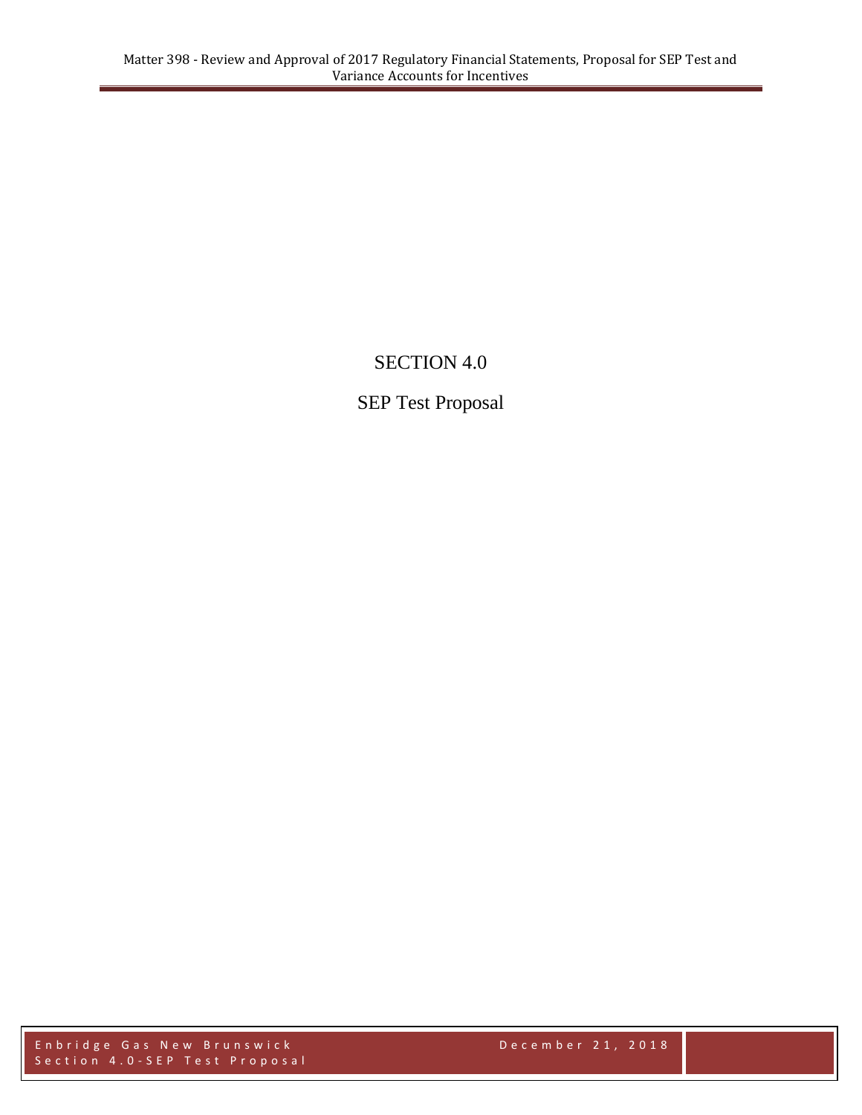## SECTION 4.0

## SEP Test Proposal

Enbridge Gas New Brunswick **December 21, 2018** Section 4.0-SEP Test Proposal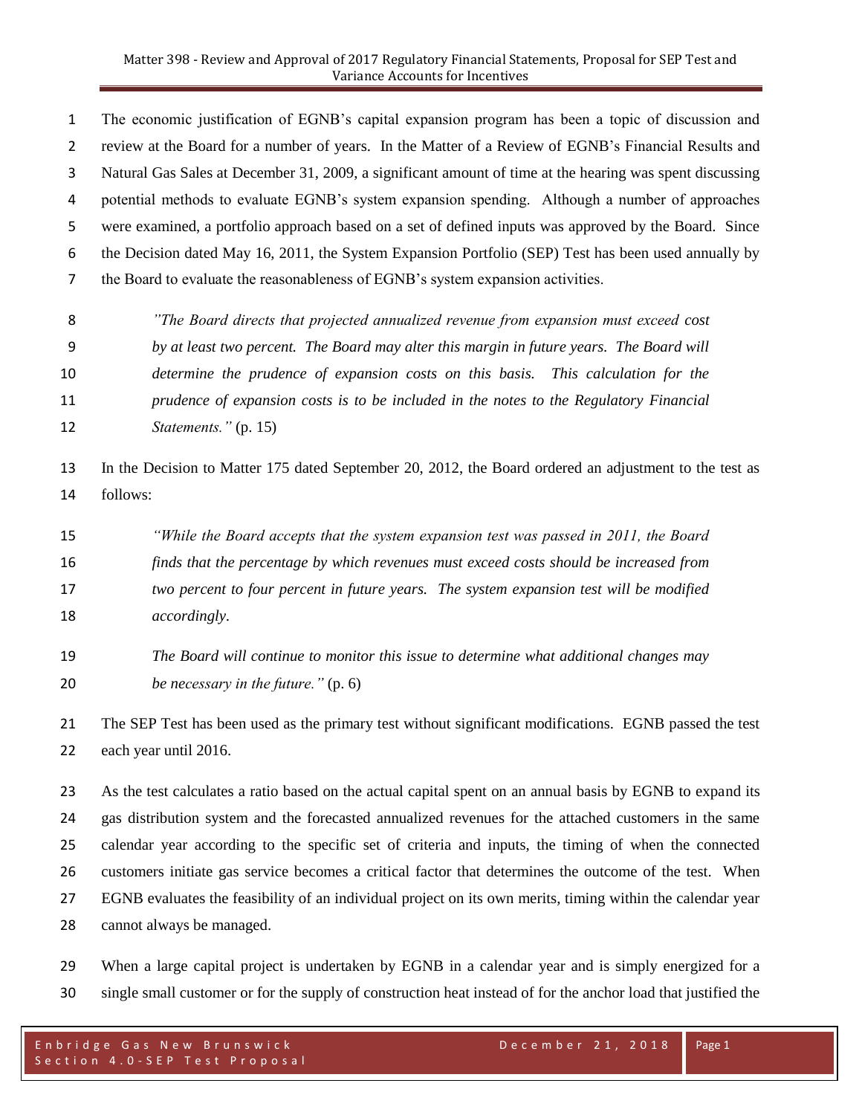The economic justification of EGNB's capital expansion program has been a topic of discussion and review at the Board for a number of years. In the Matter of a Review of EGNB's Financial Results and Natural Gas Sales at December 31, 2009, a significant amount of time at the hearing was spent discussing potential methods to evaluate EGNB's system expansion spending. Although a number of approaches were examined, a portfolio approach based on a set of defined inputs was approved by the Board. Since the Decision dated May 16, 2011, the System Expansion Portfolio (SEP) Test has been used annually by the Board to evaluate the reasonableness of EGNB's system expansion activities.

 *"The Board directs that projected annualized revenue from expansion must exceed cost by at least two percent. The Board may alter this margin in future years. The Board will determine the prudence of expansion costs on this basis. This calculation for the prudence of expansion costs is to be included in the notes to the Regulatory Financial Statements."* (p. 15)

 In the Decision to Matter 175 dated September 20, 2012, the Board ordered an adjustment to the test as follows:

- *"While the Board accepts that the system expansion test was passed in 2011, the Board finds that the percentage by which revenues must exceed costs should be increased from two percent to four percent in future years. The system expansion test will be modified accordingly.*
- *The Board will continue to monitor this issue to determine what additional changes may be necessary in the future."* (p. 6)

 The SEP Test has been used as the primary test without significant modifications. EGNB passed the test each year until 2016.

 As the test calculates a ratio based on the actual capital spent on an annual basis by EGNB to expand its gas distribution system and the forecasted annualized revenues for the attached customers in the same calendar year according to the specific set of criteria and inputs, the timing of when the connected customers initiate gas service becomes a critical factor that determines the outcome of the test. When EGNB evaluates the feasibility of an individual project on its own merits, timing within the calendar year cannot always be managed.

 When a large capital project is undertaken by EGNB in a calendar year and is simply energized for a single small customer or for the supply of construction heat instead of for the anchor load that justified the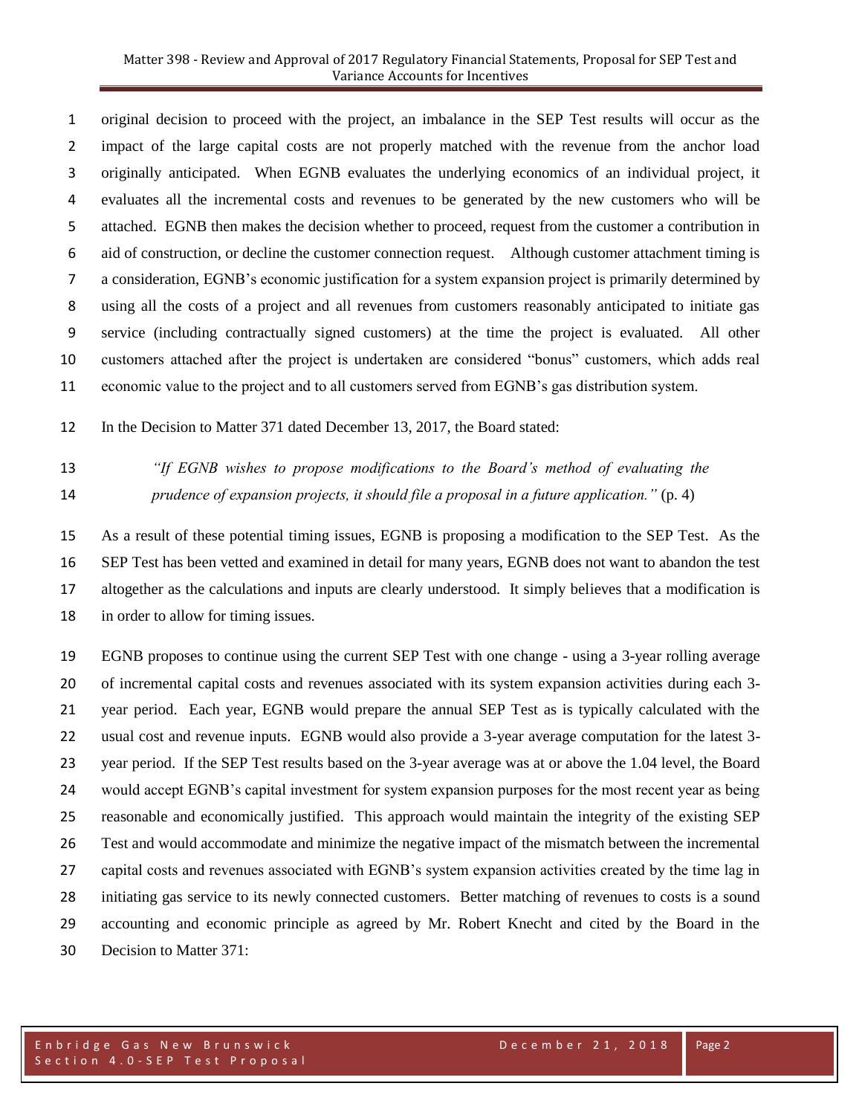original decision to proceed with the project, an imbalance in the SEP Test results will occur as the impact of the large capital costs are not properly matched with the revenue from the anchor load originally anticipated. When EGNB evaluates the underlying economics of an individual project, it evaluates all the incremental costs and revenues to be generated by the new customers who will be attached. EGNB then makes the decision whether to proceed, request from the customer a contribution in aid of construction, or decline the customer connection request. Although customer attachment timing is a consideration, EGNB's economic justification for a system expansion project is primarily determined by using all the costs of a project and all revenues from customers reasonably anticipated to initiate gas service (including contractually signed customers) at the time the project is evaluated. All other customers attached after the project is undertaken are considered "bonus" customers, which adds real economic value to the project and to all customers served from EGNB's gas distribution system.

In the Decision to Matter 371 dated December 13, 2017, the Board stated:

 *"If EGNB wishes to propose modifications to the Board's method of evaluating the prudence of expansion projects, it should file a proposal in a future application."* (p. 4)

 As a result of these potential timing issues, EGNB is proposing a modification to the SEP Test. As the SEP Test has been vetted and examined in detail for many years, EGNB does not want to abandon the test altogether as the calculations and inputs are clearly understood. It simply believes that a modification is in order to allow for timing issues.

 EGNB proposes to continue using the current SEP Test with one change - using a 3-year rolling average of incremental capital costs and revenues associated with its system expansion activities during each 3- year period. Each year, EGNB would prepare the annual SEP Test as is typically calculated with the usual cost and revenue inputs. EGNB would also provide a 3-year average computation for the latest 3- year period. If the SEP Test results based on the 3-year average was at or above the 1.04 level, the Board would accept EGNB's capital investment for system expansion purposes for the most recent year as being reasonable and economically justified. This approach would maintain the integrity of the existing SEP Test and would accommodate and minimize the negative impact of the mismatch between the incremental capital costs and revenues associated with EGNB's system expansion activities created by the time lag in initiating gas service to its newly connected customers. Better matching of revenues to costs is a sound accounting and economic principle as agreed by Mr. Robert Knecht and cited by the Board in the Decision to Matter 371: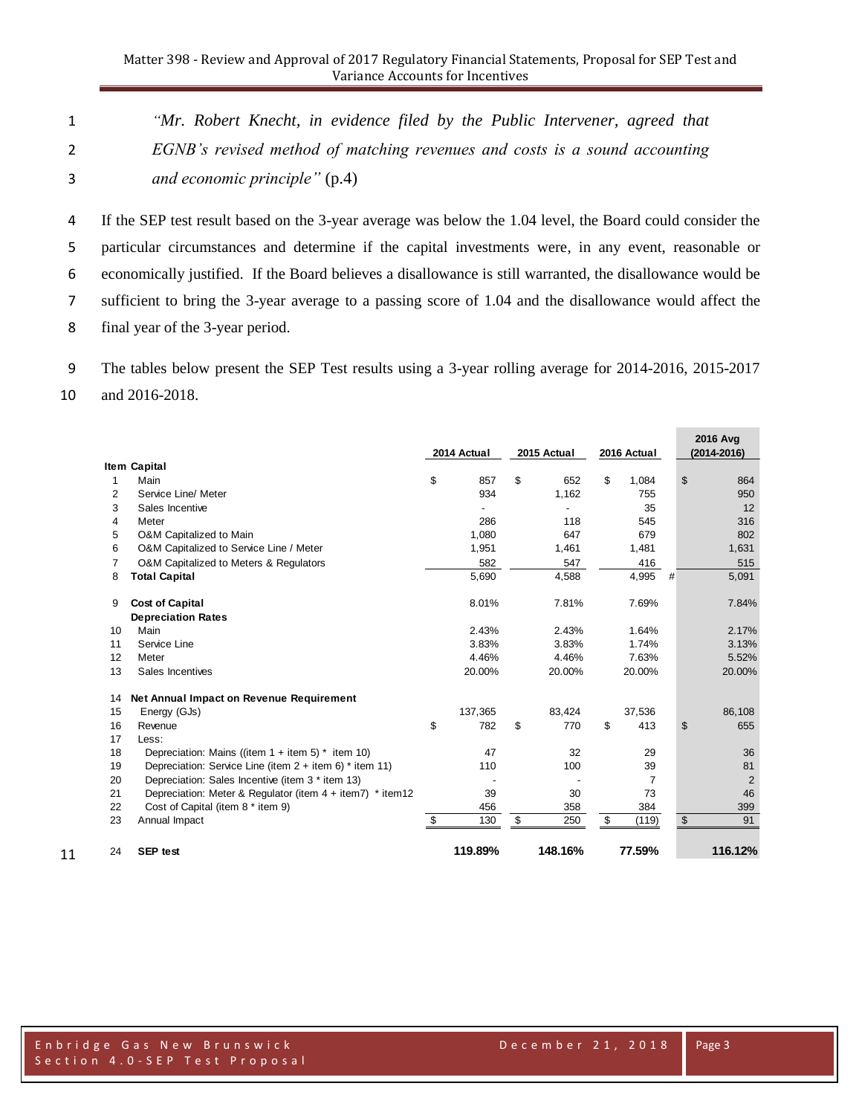*"Mr. Robert Knecht, in evidence filed by the Public Intervener, agreed that EGNB's revised method of matching revenues and costs is a sound accounting and economic principle"* (p.4)

 If the SEP test result based on the 3-year average was below the 1.04 level, the Board could consider the particular circumstances and determine if the capital investments were, in any event, reasonable or economically justified. If the Board believes a disallowance is still warranted, the disallowance would be sufficient to bring the 3-year average to a passing score of 1.04 and the disallowance would affect the final year of the 3-year period.

The tables below present the SEP Test results using a 3-year rolling average for 2014-2016, 2015-2017

and 2016-2018.

|                     |                                                              | 2014 Actual |         | 2015 Actual |         | 2016 Actual |                |   | 2016 Avg<br>(2014-2016) |                |
|---------------------|--------------------------------------------------------------|-------------|---------|-------------|---------|-------------|----------------|---|-------------------------|----------------|
| <b>Item Capital</b> |                                                              |             |         |             |         |             |                |   |                         |                |
| 1                   | Main                                                         | \$          | 857     | \$          | 652     | \$          | 1,084          |   | \$                      | 864            |
| $\overline{2}$      | Service Line/ Meter                                          |             | 934     |             | 1,162   |             | 755            |   |                         | 950            |
| 3                   | Sales Incentive                                              |             |         |             |         |             | 35             |   |                         | 12             |
| 4                   | Meter                                                        |             | 286     |             | 118     |             | 545            |   |                         | 316            |
| 5                   | O&M Capitalized to Main                                      |             | 1,080   |             | 647     |             | 679            |   |                         | 802            |
| 6                   | O&M Capitalized to Service Line / Meter                      |             | 1,951   |             | 1,461   |             | 1,481          |   |                         | 1,631          |
| 7                   | O&M Capitalized to Meters & Regulators                       |             | 582     |             | 547     |             | 416            |   |                         | 515            |
| 8                   | <b>Total Capital</b>                                         |             | 5,690   |             | 4,588   |             | 4,995          | # |                         | 5,091          |
| 9                   | <b>Cost of Capital</b>                                       |             | 8.01%   |             | 7.81%   |             | 7.69%          |   |                         | 7.84%          |
|                     | <b>Depreciation Rates</b>                                    |             |         |             |         |             |                |   |                         |                |
| 10                  | Main                                                         |             | 2.43%   |             | 2.43%   |             | 1.64%          |   |                         | 2.17%          |
| 11                  | Service Line                                                 |             | 3.83%   |             | 3.83%   |             | 1.74%          |   |                         | 3.13%          |
| 12                  | Meter                                                        |             | 4.46%   |             | 4.46%   |             | 7.63%          |   |                         | 5.52%          |
| 13                  | Sales Incentives                                             |             | 20.00%  |             | 20.00%  |             | 20.00%         |   |                         | 20.00%         |
| 14                  | Net Annual Impact on Revenue Requirement                     |             |         |             |         |             |                |   |                         |                |
| 15                  | Energy (GJs)                                                 |             | 137,365 |             | 83,424  |             | 37,536         |   |                         | 86,108         |
| 16                  | Revenue                                                      | \$          | 782     | \$          | 770     | \$          | 413            |   | \$                      | 655            |
| 17                  | Less:                                                        |             |         |             |         |             |                |   |                         |                |
| 18                  | Depreciation: Mains ((item $1 +$ item $5$ ) * item 10)       |             | 47      |             | 32      |             | 29             |   |                         | 36             |
| 19                  | Depreciation: Service Line (item 2 + item 6) * item 11)      |             | 110     |             | 100     |             | 39             |   |                         | 81             |
| 20                  | Depreciation: Sales Incentive (item 3 * item 13)             |             |         |             |         |             | $\overline{7}$ |   |                         | $\overline{2}$ |
| 21                  | Depreciation: Meter & Regulator (item $4 + item7$ ) * item12 |             | 39      |             | 30      |             | 73             |   |                         | 46             |
| 22                  | Cost of Capital (item 8 * item 9)                            |             | 456     |             | 358     |             | 384            |   |                         | 399            |
| 23                  | Annual Impact                                                | \$          | 130     | \$          | 250     | \$          | (119)          |   | \$                      | 91             |
| 24                  | <b>SEP</b> test                                              |             | 119.89% |             | 148.16% |             | 77.59%         |   |                         | 116.12%        |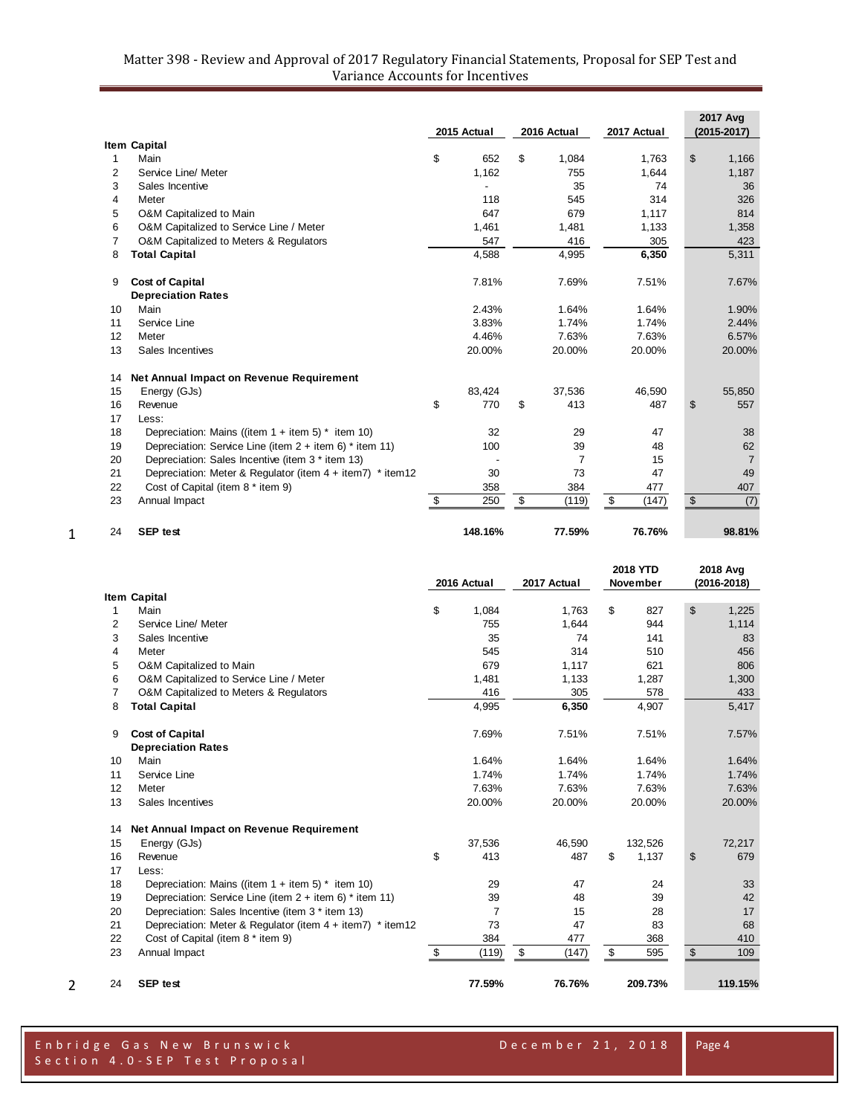## Matter 398 - Review and Approval of 2017 Regulatory Financial Statements, Proposal for SEP Test and Variance Accounts for Incentives

|    |                                                              | 2015 Actual |         | 2016 Actual |                | 2017 Actual | <b>2017 Avg</b><br>(2015-2017) |
|----|--------------------------------------------------------------|-------------|---------|-------------|----------------|-------------|--------------------------------|
|    | <b>Item Capital</b>                                          |             |         |             |                |             |                                |
| 1  | Main                                                         | \$          | 652     | \$          | 1,084          | 1.763       | \$<br>1,166                    |
| 2  | Service Line/ Meter                                          |             | 1,162   |             | 755            | 1,644       | 1,187                          |
| 3  | Sales Incentive                                              |             |         |             | 35             | 74          | 36                             |
| 4  | Meter                                                        |             | 118     |             | 545            | 314         | 326                            |
| 5  | O&M Capitalized to Main                                      |             | 647     |             | 679            | 1,117       | 814                            |
| 6  | O&M Capitalized to Service Line / Meter                      |             | 1,461   |             | 1,481          | 1,133       | 1,358                          |
| 7  | O&M Capitalized to Meters & Regulators                       |             | 547     |             | 416            | 305         | 423                            |
| 8  | <b>Total Capital</b>                                         |             | 4,588   |             | 4,995          | 6,350       | 5,311                          |
| 9  | <b>Cost of Capital</b>                                       |             | 7.81%   |             | 7.69%          | 7.51%       | 7.67%                          |
|    | <b>Depreciation Rates</b>                                    |             |         |             |                |             |                                |
| 10 | Main                                                         |             | 2.43%   |             | 1.64%          | 1.64%       | 1.90%                          |
| 11 | Service Line                                                 |             | 3.83%   |             | 1.74%          | 1.74%       | 2.44%                          |
| 12 | Meter                                                        |             | 4.46%   |             | 7.63%          | 7.63%       | 6.57%                          |
| 13 | Sales Incentives                                             |             | 20.00%  |             | 20.00%         | 20.00%      | 20.00%                         |
| 14 | Net Annual Impact on Revenue Requirement                     |             |         |             |                |             |                                |
| 15 | Energy (GJs)                                                 |             | 83,424  |             | 37,536         | 46.590      | 55,850                         |
| 16 | Revenue                                                      | \$          | 770     | \$          | 413            | 487         | \$<br>557                      |
| 17 | Less:                                                        |             |         |             |                |             |                                |
| 18 | Depreciation: Mains ((item $1 +$ item 5) * item 10)          |             | 32      |             | 29             | 47          | 38                             |
| 19 | Depreciation: Service Line (item $2 +$ item 6) * item 11)    |             | 100     |             | 39             | 48          | 62                             |
| 20 | Depreciation: Sales Incentive (item 3 * item 13)             |             |         |             | $\overline{7}$ | 15          | $\overline{7}$                 |
| 21 | Depreciation: Meter & Regulator (item $4 + item7$ ) * item12 |             | 30      |             | 73             | 47          | 49                             |
| 22 | Cost of Capital (item 8 * item 9)                            |             | 358     |             | 384            | 477         | 407                            |
| 23 | Annual Impact                                                | \$          | 250     | \$          | (119)          | \$<br>(147) | \$<br>(7)                      |
| 24 | <b>SEP</b> test                                              |             | 148.16% |             | 77.59%         | 76.76%      | 98.81%                         |

|    |                                                              | 2016 Actual |        | 2017 Actual | 2018 YTD<br>November |         | 2018 Avg<br>(2016-2018) |         |
|----|--------------------------------------------------------------|-------------|--------|-------------|----------------------|---------|-------------------------|---------|
|    | <b>Item Capital</b>                                          |             |        |             |                      |         |                         |         |
| 1  | Main                                                         | \$          | 1,084  | 1,763       | \$                   | 827     | \$                      | 1,225   |
| 2  | Service Line/ Meter                                          |             | 755    | 1,644       |                      | 944     |                         | 1,114   |
| 3  | Sales Incentive                                              |             | 35     | 74          |                      | 141     |                         | 83      |
| 4  | Meter                                                        |             | 545    | 314         |                      | 510     |                         | 456     |
| 5  | O&M Capitalized to Main                                      |             | 679    | 1,117       |                      | 621     |                         | 806     |
| 6  | O&M Capitalized to Service Line / Meter                      |             | 1,481  | 1,133       |                      | 1,287   |                         | 1,300   |
| 7  | O&M Capitalized to Meters & Regulators                       |             | 416    | 305         |                      | 578     |                         | 433     |
| 8  | <b>Total Capital</b>                                         |             | 4,995  | 6,350       |                      | 4,907   |                         | 5,417   |
| 9  | <b>Cost of Capital</b>                                       |             | 7.69%  | 7.51%       |                      | 7.51%   |                         | 7.57%   |
|    | <b>Depreciation Rates</b>                                    |             |        |             |                      |         |                         |         |
| 10 | Main                                                         |             | 1.64%  | 1.64%       |                      | 1.64%   |                         | 1.64%   |
| 11 | Service Line                                                 |             | 1.74%  | 1.74%       |                      | 1.74%   |                         | 1.74%   |
| 12 | Meter                                                        |             | 7.63%  | 7.63%       |                      | 7.63%   |                         | 7.63%   |
| 13 | Sales Incentives                                             |             | 20.00% | 20.00%      |                      | 20.00%  |                         | 20.00%  |
| 14 | Net Annual Impact on Revenue Requirement                     |             |        |             |                      |         |                         |         |
| 15 | Energy (GJs)                                                 |             | 37,536 | 46,590      |                      | 132,526 |                         | 72,217  |
| 16 | Revenue                                                      | \$          | 413    | 487         | \$                   | 1,137   | \$                      | 679     |
| 17 | Less:                                                        |             |        |             |                      |         |                         |         |
| 18 | Depreciation: Mains ((item $1 +$ item 5) $*$ item 10)        |             | 29     | 47          |                      | 24      |                         | 33      |
| 19 | Depreciation: Service Line (item $2 +$ item 6) * item 11)    |             | 39     | 48          |                      | 39      |                         | 42      |
| 20 | Depreciation: Sales Incentive (item 3 * item 13)             |             | 7      | 15          |                      | 28      |                         | 17      |
| 21 | Depreciation: Meter & Regulator (item $4 + item7$ ) * item12 |             | 73     | 47          |                      | 83      |                         | 68      |
| 22 | Cost of Capital (item 8 * item 9)                            |             | 384    | 477         |                      | 368     |                         | 410     |
| 23 | Annual Impact                                                | \$          | (119)  | \$<br>(147) | \$                   | 595     | $\sqrt[6]{2}$           | 109     |
| 24 | <b>SEP test</b>                                              |             | 77.59% | 76.76%      |                      | 209.73% |                         | 119.15% |